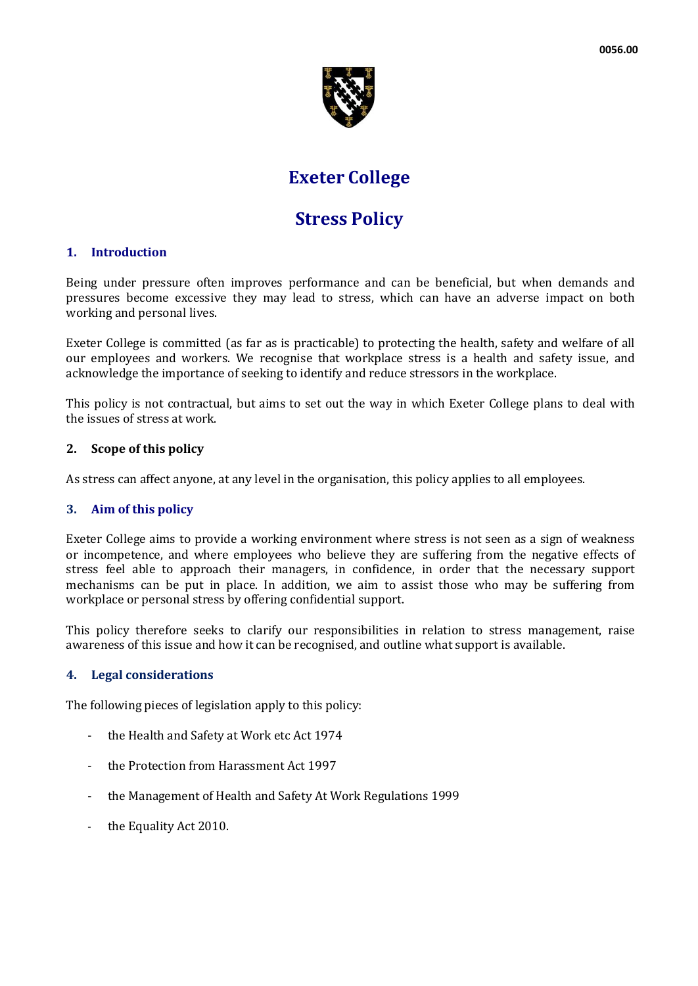

# **Exeter College**

## **Stress Policy**

## **1. Introduction**

Being under pressure often improves performance and can be beneficial, but when demands and pressures become excessive they may lead to stress, which can have an adverse impact on both working and personal lives.

Exeter College is committed (as far as is practicable) to protecting the health, safety and welfare of all our employees and workers. We recognise that workplace stress is a health and safety issue, and acknowledge the importance of seeking to identify and reduce stressors in the workplace.

This policy is not contractual, but aims to set out the way in which Exeter College plans to deal with the issues of stress at work.

## **2. Scope of this policy**

As stress can affect anyone, at any level in the organisation, this policy applies to all employees.

## **3. Aim of this policy**

Exeter College aims to provide a working environment where stress is not seen as a sign of weakness or incompetence, and where employees who believe they are suffering from the negative effects of stress feel able to approach their managers, in confidence, in order that the necessary support mechanisms can be put in place. In addition, we aim to assist those who may be suffering from workplace or personal stress by offering confidential support.

This policy therefore seeks to clarify our responsibilities in relation to stress management, raise awareness of this issue and how it can be recognised, and outline what support is available.

## **4. Legal considerations**

The following pieces of legislation apply to this policy:

- the Health and Safety at Work etc Act 1974
- the Protection from Harassment Act 1997
- the Management of Health and Safety At Work Regulations 1999
- the Equality Act 2010.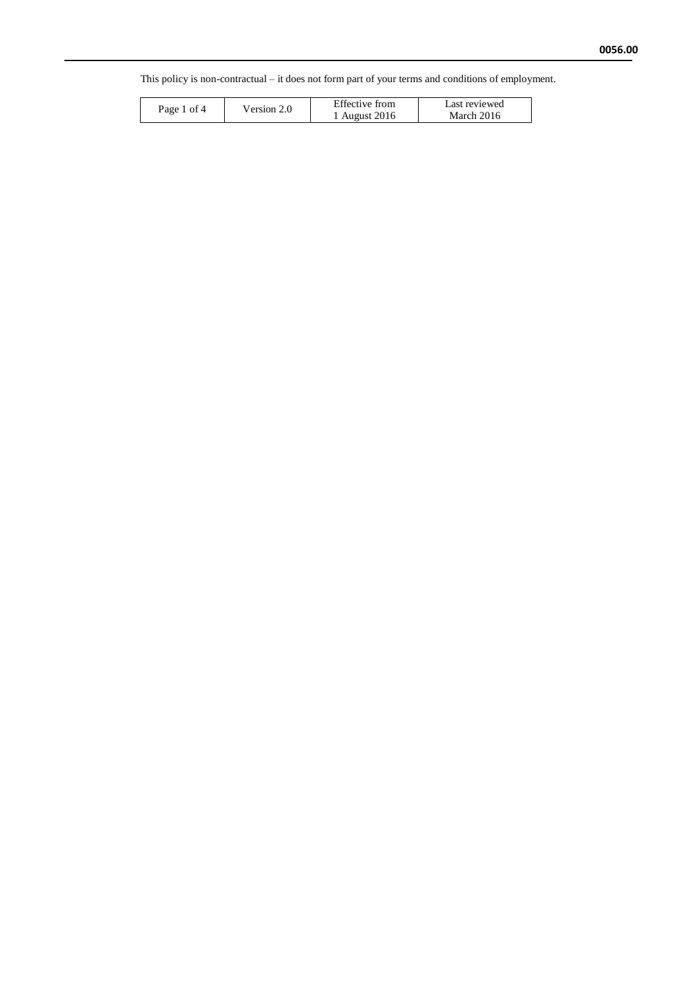This policy is non-contractual – it does not form part of your terms and conditions of employment.

| Version 2.0 | Effective from | Last reviewed |
|-------------|----------------|---------------|
| Page 1 of 4 | 1 August 2016  | March 2016    |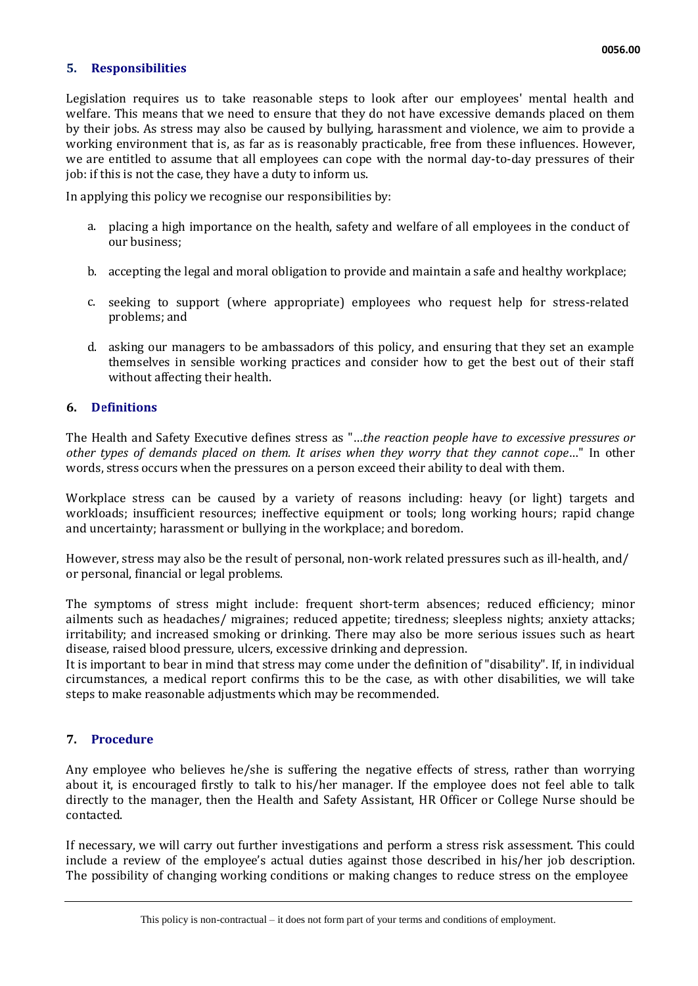### **5. Responsibilities**

Legislation requires us to take reasonable steps to look after our employees' mental health and welfare. This means that we need to ensure that they do not have excessive demands placed on them by their jobs. As stress may also be caused by bullying, harassment and violence, we aim to provide a working environment that is, as far as is reasonably practicable, free from these influences. However, we are entitled to assume that all employees can cope with the normal day-to-day pressures of their job: if this is not the case, they have a duty to inform us.

In applying this policy we recognise our responsibilities by:

- a. placing a high importance on the health, safety and welfare of all employees in the conduct of our business;
- b. accepting the legal and moral obligation to provide and maintain a safe and healthy workplace;
- c. seeking to support (where appropriate) employees who request help for stress-related problems; and
- d. asking our managers to be ambassadors of this policy, and ensuring that they set an example themselves in sensible working practices and consider how to get the best out of their staff without affecting their health.

### **6. Definitions**

The Health and Safety Executive defines stress as "…*the reaction people have to excessive pressures or other types of demands placed on them. It arises when they worry that they cannot cope*…" In other words, stress occurs when the pressures on a person exceed their ability to deal with them.

Workplace stress can be caused by a variety of reasons including: heavy (or light) targets and workloads; insufficient resources; ineffective equipment or tools; long working hours; rapid change and uncertainty; harassment or bullying in the workplace; and boredom.

However, stress may also be the result of personal, non-work related pressures such as ill-health, and/ or personal, financial or legal problems.

The symptoms of stress might include: frequent short-term absences; reduced efficiency; minor ailments such as headaches/ migraines; reduced appetite; tiredness; sleepless nights; anxiety attacks; irritability; and increased smoking or drinking. There may also be more serious issues such as heart disease, raised blood pressure, ulcers, excessive drinking and depression.

It is important to bear in mind that stress may come under the definition of "disability". If, in individual circumstances, a medical report confirms this to be the case, as with other disabilities, we will take steps to make reasonable adjustments which may be recommended.

#### **7. Procedure**

Any employee who believes he/she is suffering the negative effects of stress, rather than worrying about it, is encouraged firstly to talk to his/her manager. If the employee does not feel able to talk directly to the manager, then the Health and Safety Assistant, HR Officer or College Nurse should be contacted.

If necessary, we will carry out further investigations and perform a stress risk assessment. This could include a review of the employee's actual duties against those described in his/her job description. The possibility of changing working conditions or making changes to reduce stress on the employee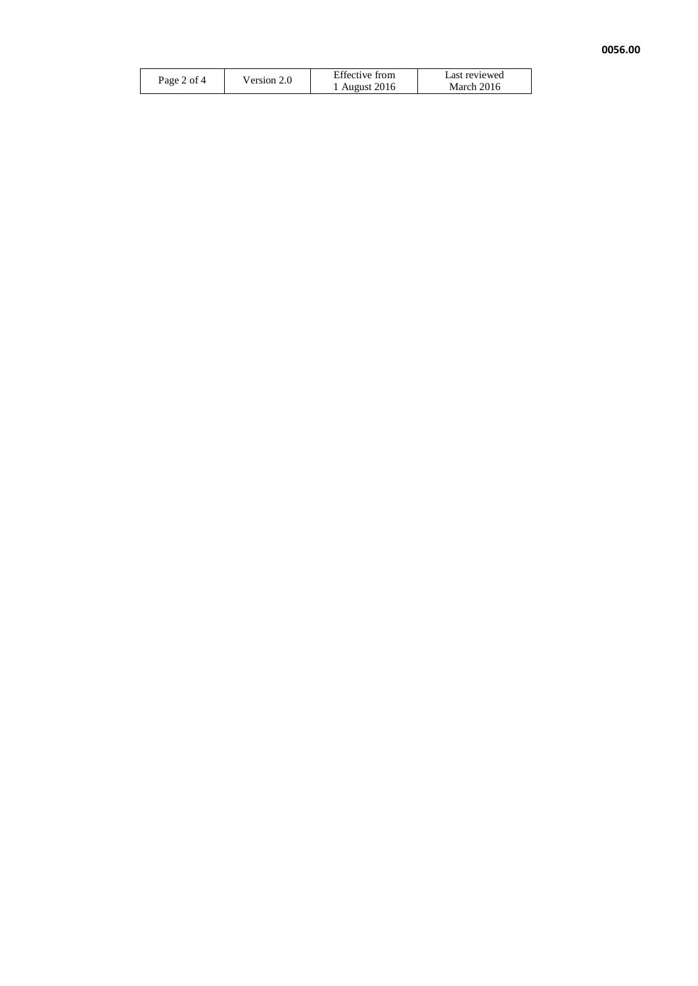| Page 2 of 4 | Version 2.0 | Effective from | Last reviewed |
|-------------|-------------|----------------|---------------|
|             |             | 1 August 2016  | March 2016    |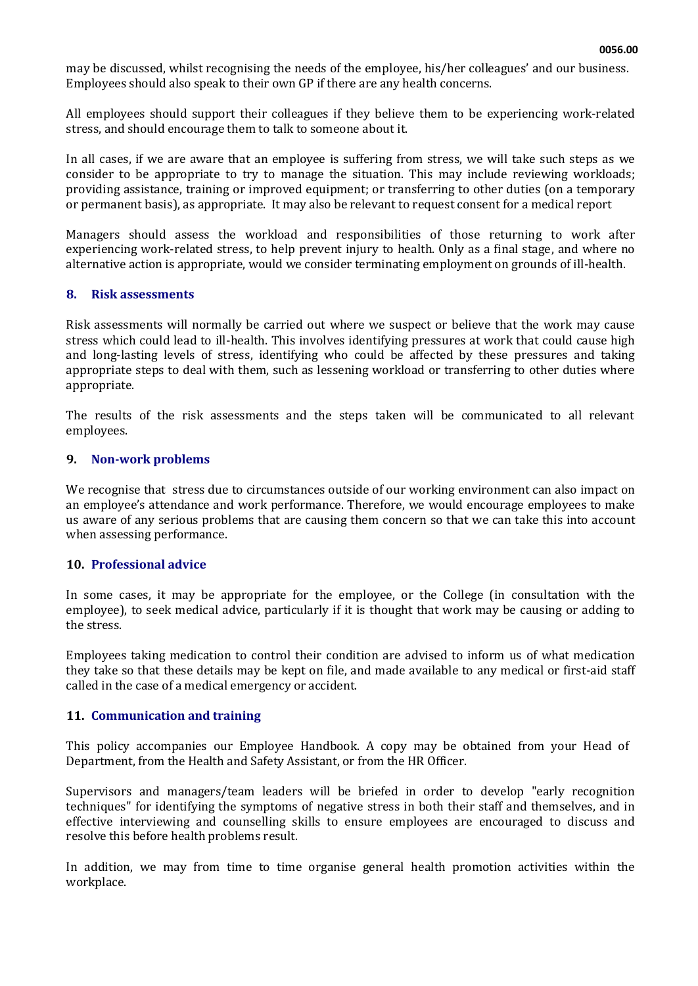may be discussed, whilst recognising the needs of the employee, his/her colleagues' and our business. Employees should also speak to their own GP if there are any health concerns.

All employees should support their colleagues if they believe them to be experiencing work-related stress, and should encourage them to talk to someone about it.

In all cases, if we are aware that an employee is suffering from stress, we will take such steps as we consider to be appropriate to try to manage the situation. This may include reviewing workloads; providing assistance, training or improved equipment; or transferring to other duties (on a temporary or permanent basis), as appropriate. It may also be relevant to request consent for a medical report

Managers should assess the workload and responsibilities of those returning to work after experiencing work-related stress, to help prevent injury to health. Only as a final stage, and where no alternative action is appropriate, would we consider terminating employment on grounds of ill-health.

#### **8. Risk assessments**

Risk assessments will normally be carried out where we suspect or believe that the work may cause stress which could lead to ill-health. This involves identifying pressures at work that could cause high and long-lasting levels of stress, identifying who could be affected by these pressures and taking appropriate steps to deal with them, such as lessening workload or transferring to other duties where appropriate.

The results of the risk assessments and the steps taken will be communicated to all relevant employees.

#### **9. Non-work problems**

We recognise that stress due to circumstances outside of our working environment can also impact on an employee's attendance and work performance. Therefore, we would encourage employees to make us aware of any serious problems that are causing them concern so that we can take this into account when assessing performance.

#### **10. Professional advice**

In some cases, it may be appropriate for the employee, or the College (in consultation with the employee), to seek medical advice, particularly if it is thought that work may be causing or adding to the stress.

Employees taking medication to control their condition are advised to inform us of what medication they take so that these details may be kept on file, and made available to any medical or first-aid staff called in the case of a medical emergency or accident.

#### **11. Communication and training**

This policy accompanies our Employee Handbook. A copy may be obtained from your Head of Department, from the Health and Safety Assistant, or from the HR Officer.

Supervisors and managers/team leaders will be briefed in order to develop "early recognition techniques" for identifying the symptoms of negative stress in both their staff and themselves, and in effective interviewing and counselling skills to ensure employees are encouraged to discuss and resolve this before health problems result.

In addition, we may from time to time organise general health promotion activities within the workplace.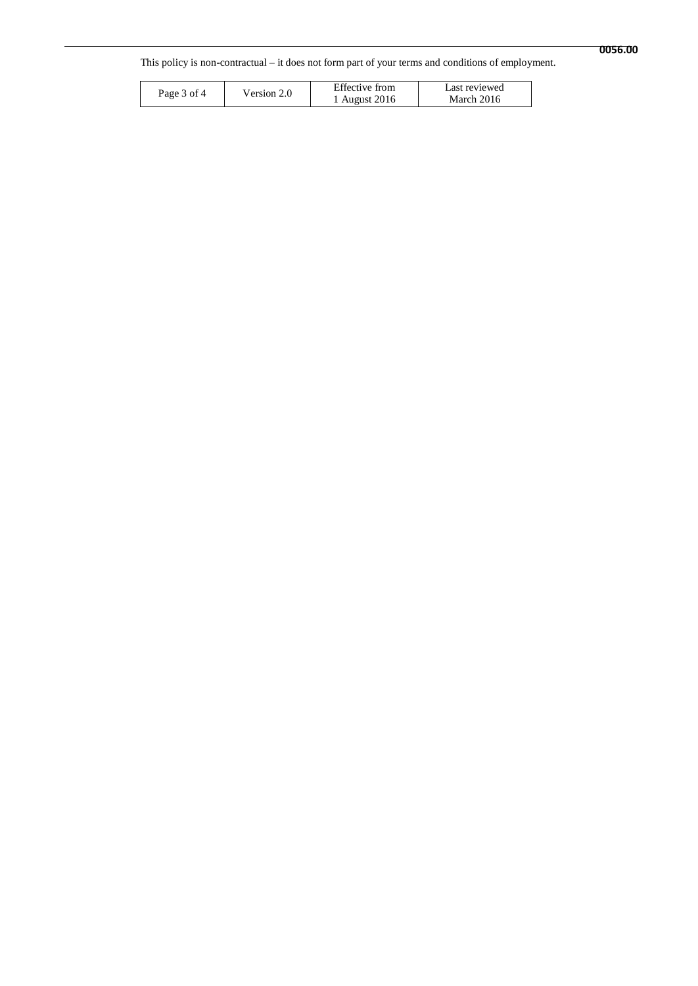This policy is non-contractual – it does not form part of your terms and conditions of employment.

| Version 2.0 | Effective from | Last reviewed |
|-------------|----------------|---------------|
| Page 3 of 4 | 1 August 2016  | March 2016    |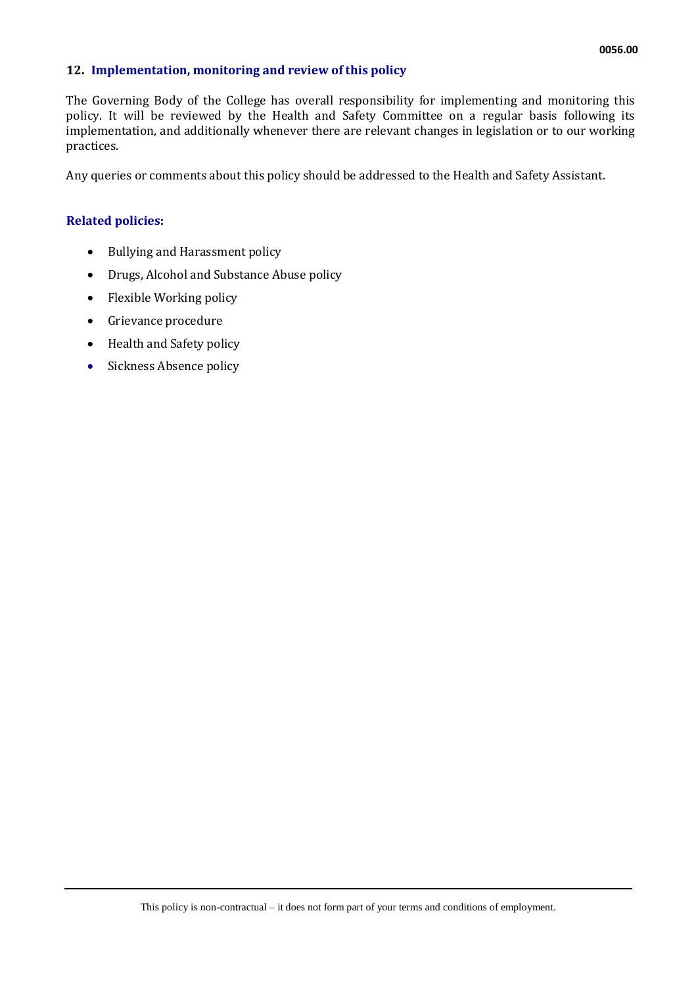#### **12. Implementation, monitoring and review of this policy**

The Governing Body of the College has overall responsibility for implementing and monitoring this policy. It will be reviewed by the Health and Safety Committee on a regular basis following its implementation, and additionally whenever there are relevant changes in legislation or to our working practices.

Any queries or comments about this policy should be addressed to the Health and Safety Assistant.

#### **Related policies:**

- Bullying and Harassment policy
- Drugs, Alcohol and Substance Abuse policy
- Flexible Working policy
- Grievance procedure
- Health and Safety policy
- Sickness Absence policy